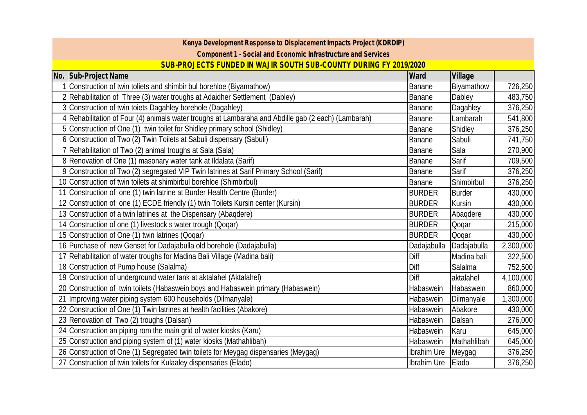| Kenya Development Response to Displacement Impacts Project (KDRDIP)                                 |               |               |           |  |  |  |  |
|-----------------------------------------------------------------------------------------------------|---------------|---------------|-----------|--|--|--|--|
| Component 1 - Social and Economic Infrastructure and Services                                       |               |               |           |  |  |  |  |
| SUB-PROJECTS FUNDED IN WAJIR SOUTH SUB-COUNTY DURING FY 2019/2020                                   |               |               |           |  |  |  |  |
| No. Sub-Project Name                                                                                | Ward          | Village       |           |  |  |  |  |
| Construction of twin toliets and shimbir bul borehloe (Biyamathow)                                  | Banane        | Biyamathow    | 726,250   |  |  |  |  |
| 2 Rehabilitation of Three (3) water troughs at Adaidher Settlement (Dabley)                         | <b>Banane</b> | Dabley        | 483,750   |  |  |  |  |
| 3 Construction of twin toiets Dagahley borehole (Dagahley)                                          | Banane        | Dagahley      | 376,250   |  |  |  |  |
| 4 Rehabilitation of Four (4) animals water troughs at Lambaraha and Abdille gab (2 each) (Lambarah) | Banane        | Lambarah      | 541,800   |  |  |  |  |
| 5 Construction of One (1) twin toilet for Shidley primary school (Shidley)                          | Banane        | Shidley       | 376,250   |  |  |  |  |
| 6 Construction of Two (2) Twin Toilets at Sabuli dispensary (Sabuli)                                | Banane        | Sabuli        | 741,750   |  |  |  |  |
| 7 Rehabilitation of Two (2) animal troughs at Sala (Sala)                                           | Banane        | Sala          | 270,900   |  |  |  |  |
| 8 Renovation of One (1) masonary water tank at Ildalata (Sarif)                                     | Banane        | Sarif         | 709,500   |  |  |  |  |
| 9 Construction of Two (2) segregated VIP Twin latrines at Sarif Primary School (Sarif)              | Banane        | Sarif         | 376,250   |  |  |  |  |
| 10 Construction of twin toilets at shimbirbul borehloe (Shimbirbul)                                 | Banane        | Shimbirbul    | 376,250   |  |  |  |  |
| 11 Construction of one (1) twin latrine at Burder Health Centre (Burder)                            | <b>BURDER</b> | <b>Burder</b> | 430,000   |  |  |  |  |
| 12 Construction of one (1) ECDE friendly (1) twin Toilets Kursin center (Kursin)                    | <b>BURDER</b> | Kursin        | 430,000   |  |  |  |  |
| 13 Construction of a twin latrines at the Dispensary (Abagdere)                                     | <b>BURDER</b> | Abagdere      | 430,000   |  |  |  |  |
| 14 Construction of one (1) livestock s water trough (Qoqar)                                         | <b>BURDER</b> | Qoqar         | 215,000   |  |  |  |  |
| 15 Construction of One (1) twin latrines (Qoqar)                                                    | <b>BURDER</b> | Qoqar         | 430,000   |  |  |  |  |
| 16 Purchase of new Genset for Dadajabulla old borehole (Dadajabulla)                                | Dadajabulla   | Dadajabulla   | 2,300,000 |  |  |  |  |
| 17 Rehabilitation of water troughs for Madina Bali Village (Madina bali)<br>Diff                    |               | Madina bali   | 322,500   |  |  |  |  |
| 18 Construction of Pump house (Salalma)<br>Diff                                                     |               | Salalma       | 752,500   |  |  |  |  |
| 19 Construction of underground water tank at aktalahel (Aktalahel)<br>Diff                          |               | aktalahel     | 4,100,000 |  |  |  |  |
| 20 Construction of twin toilets (Habaswein boys and Habaswein primary (Habaswein)                   | Habaswein     | Habaswein     | 860,000   |  |  |  |  |
| 21 Improving water piping system 600 households (Dilmanyale)                                        | Habaswein     | Dilmanyale    | 1,300,000 |  |  |  |  |
| 22 Construction of One (1) Twin latrines at health facilities (Abakore)                             | Habaswein     | Abakore       | 430,000   |  |  |  |  |
| 23 Renovation of Two (2) troughs (Dalsan)                                                           | Habaswein     | Dalsan        | 276,000   |  |  |  |  |
| 24 Construction an piping rom the main grid of water kiosks (Karu)                                  | Habaswein     | Karu          | 645,000   |  |  |  |  |
| 25 Construction and piping system of (1) water kiosks (Mathahlibah)                                 | Habaswein     | Mathahlibah   | 645,000   |  |  |  |  |
| 26 Construction of One (1) Segregated twin toilets for Meygag dispensaries (Meygag)                 | Ibrahim Ure   | Meygag        | 376,250   |  |  |  |  |
| 27 Construction of twin toilets for Kulaaley dispensaries (Elado)                                   | Ibrahim Ure   | Elado         | 376,250   |  |  |  |  |